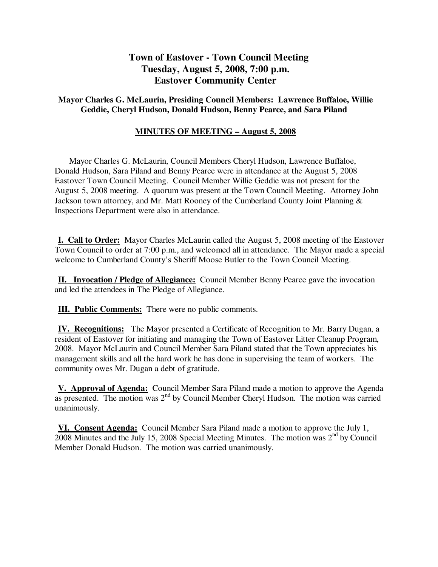# **Town of Eastover - Town Council Meeting Tuesday, August 5, 2008, 7:00 p.m. Eastover Community Center**

# **Mayor Charles G. McLaurin, Presiding Council Members: Lawrence Buffaloe, Willie Geddie, Cheryl Hudson, Donald Hudson, Benny Pearce, and Sara Piland**

# **MINUTES OF MEETING – August 5, 2008**

 Mayor Charles G. McLaurin, Council Members Cheryl Hudson, Lawrence Buffaloe, Donald Hudson, Sara Piland and Benny Pearce were in attendance at the August 5, 2008 Eastover Town Council Meeting. Council Member Willie Geddie was not present for the August 5, 2008 meeting. A quorum was present at the Town Council Meeting. Attorney John Jackson town attorney, and Mr. Matt Rooney of the Cumberland County Joint Planning & Inspections Department were also in attendance.

**I. Call to Order:** Mayor Charles McLaurin called the August 5, 2008 meeting of the Eastover Town Council to order at 7:00 p.m., and welcomed all in attendance. The Mayor made a special welcome to Cumberland County's Sheriff Moose Butler to the Town Council Meeting.

**II. Invocation / Pledge of Allegiance:** Council Member Benny Pearce gave the invocation and led the attendees in The Pledge of Allegiance.

**III. Public Comments:** There were no public comments.

**IV. Recognitions:** The Mayor presented a Certificate of Recognition to Mr. Barry Dugan, a resident of Eastover for initiating and managing the Town of Eastover Litter Cleanup Program, 2008. Mayor McLaurin and Council Member Sara Piland stated that the Town appreciates his management skills and all the hard work he has done in supervising the team of workers. The community owes Mr. Dugan a debt of gratitude.

**V. Approval of Agenda:** Council Member Sara Piland made a motion to approve the Agenda as presented. The motion was  $2<sup>nd</sup>$  by Council Member Cheryl Hudson. The motion was carried unanimously.

**VI. Consent Agenda:** Council Member Sara Piland made a motion to approve the July 1, 2008 Minutes and the July 15, 2008 Special Meeting Minutes. The motion was  $2^{nd}$  by Council Member Donald Hudson. The motion was carried unanimously.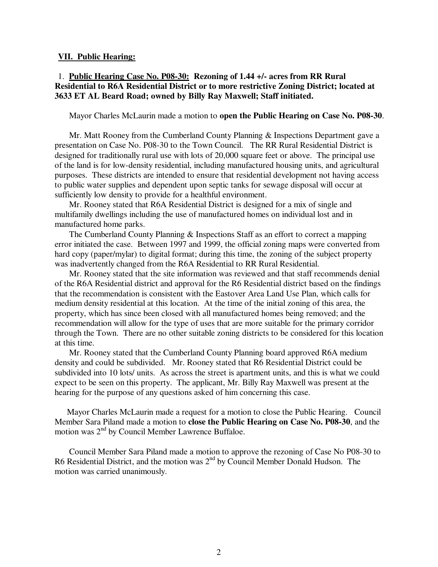#### **VII. Public Hearing:**

# 1. **Public Hearing Case No. P08-30: Rezoning of 1.44 +/- acres from RR Rural Residential to R6A Residential District or to more restrictive Zoning District; located at 3633 ET AL Beard Road; owned by Billy Ray Maxwell; Staff initiated.**

Mayor Charles McLaurin made a motion to **open the Public Hearing on Case No. P08-30**.

 Mr. Matt Rooney from the Cumberland County Planning & Inspections Department gave a presentation on Case No. P08-30 to the Town Council. The RR Rural Residential District is designed for traditionally rural use with lots of 20,000 square feet or above. The principal use of the land is for low-density residential, including manufactured housing units, and agricultural purposes. These districts are intended to ensure that residential development not having access to public water supplies and dependent upon septic tanks for sewage disposal will occur at sufficiently low density to provide for a healthful environment.

 Mr. Rooney stated that R6A Residential District is designed for a mix of single and multifamily dwellings including the use of manufactured homes on individual lost and in manufactured home parks.

 The Cumberland County Planning & Inspections Staff as an effort to correct a mapping error initiated the case. Between 1997 and 1999, the official zoning maps were converted from hard copy (paper/mylar) to digital format; during this time, the zoning of the subject property was inadvertently changed from the R6A Residential to RR Rural Residential.

 Mr. Rooney stated that the site information was reviewed and that staff recommends denial of the R6A Residential district and approval for the R6 Residential district based on the findings that the recommendation is consistent with the Eastover Area Land Use Plan, which calls for medium density residential at this location. At the time of the initial zoning of this area, the property, which has since been closed with all manufactured homes being removed; and the recommendation will allow for the type of uses that are more suitable for the primary corridor through the Town. There are no other suitable zoning districts to be considered for this location at this time.

 Mr. Rooney stated that the Cumberland County Planning board approved R6A medium density and could be subdivided. Mr. Rooney stated that R6 Residential District could be subdivided into 10 lots/ units. As across the street is apartment units, and this is what we could expect to be seen on this property. The applicant, Mr. Billy Ray Maxwell was present at the hearing for the purpose of any questions asked of him concerning this case.

 Mayor Charles McLaurin made a request for a motion to close the Public Hearing. Council Member Sara Piland made a motion to **close the Public Hearing on Case No. P08-30**, and the motion was 2<sup>nd</sup> by Council Member Lawrence Buffaloe.

 Council Member Sara Piland made a motion to approve the rezoning of Case No P08-30 to R6 Residential District, and the motion was 2<sup>nd</sup> by Council Member Donald Hudson. The motion was carried unanimously.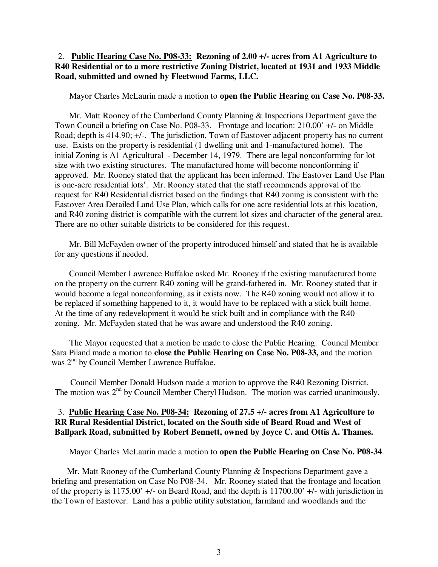# 2. **Public Hearing Case No. P08-33: Rezoning of 2.00 +/- acres from A1 Agriculture to R40 Residential or to a more restrictive Zoning District, located at 1931 and 1933 Middle Road, submitted and owned by Fleetwood Farms, LLC.**

Mayor Charles McLaurin made a motion to **open the Public Hearing on Case No. P08-33.**

 Mr. Matt Rooney of the Cumberland County Planning & Inspections Department gave the Town Council a briefing on Case No. P08-33. Frontage and location: 210.00' +/- on Middle Road; depth is 414.90; +/-. The jurisdiction, Town of Eastover adjacent property has no current use. Exists on the property is residential (1 dwelling unit and 1-manufactured home). The initial Zoning is A1 Agricultural - December 14, 1979. There are legal nonconforming for lot size with two existing structures. The manufactured home will become nonconforming if approved. Mr. Rooney stated that the applicant has been informed. The Eastover Land Use Plan is one-acre residential lots'. Mr. Rooney stated that the staff recommends approval of the request for R40 Residential district based on the findings that R40 zoning is consistent with the Eastover Area Detailed Land Use Plan, which calls for one acre residential lots at this location, and R40 zoning district is compatible with the current lot sizes and character of the general area. There are no other suitable districts to be considered for this request.

 Mr. Bill McFayden owner of the property introduced himself and stated that he is available for any questions if needed.

 Council Member Lawrence Buffaloe asked Mr. Rooney if the existing manufactured home on the property on the current R40 zoning will be grand-fathered in. Mr. Rooney stated that it would become a legal nonconforming, as it exists now. The R40 zoning would not allow it to be replaced if something happened to it, it would have to be replaced with a stick built home. At the time of any redevelopment it would be stick built and in compliance with the R40 zoning. Mr. McFayden stated that he was aware and understood the R40 zoning.

 The Mayor requested that a motion be made to close the Public Hearing. Council Member Sara Piland made a motion to **close the Public Hearing on Case No. P08-33,** and the motion was 2<sup>nd</sup> by Council Member Lawrence Buffaloe.

 Council Member Donald Hudson made a motion to approve the R40 Rezoning District. The motion was  $2<sup>nd</sup>$  by Council Member Cheryl Hudson. The motion was carried unanimously.

# 3. **Public Hearing Case No. P08-34: Rezoning of 27.5 +/- acres from A1 Agriculture to RR Rural Residential District, located on the South side of Beard Road and West of Ballpark Road, submitted by Robert Bennett, owned by Joyce C. and Ottis A. Thames.**

Mayor Charles McLaurin made a motion to **open the Public Hearing on Case No. P08-34**.

 Mr. Matt Rooney of the Cumberland County Planning & Inspections Department gave a briefing and presentation on Case No P08-34. Mr. Rooney stated that the frontage and location of the property is 1175.00' +/- on Beard Road, and the depth is 11700.00' +/- with jurisdiction in the Town of Eastover. Land has a public utility substation, farmland and woodlands and the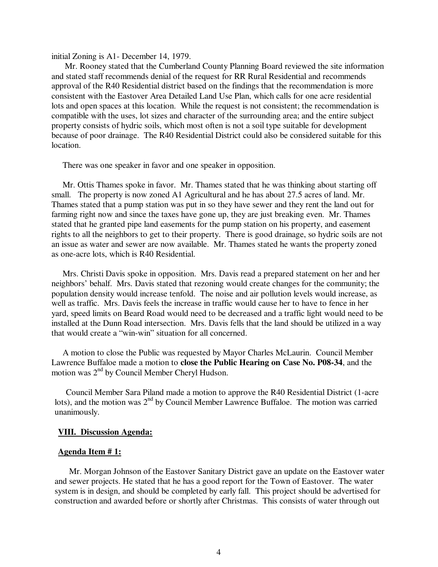initial Zoning is A1- December 14, 1979.

 Mr. Rooney stated that the Cumberland County Planning Board reviewed the site information and stated staff recommends denial of the request for RR Rural Residential and recommends approval of the R40 Residential district based on the findings that the recommendation is more consistent with the Eastover Area Detailed Land Use Plan, which calls for one acre residential lots and open spaces at this location. While the request is not consistent; the recommendation is compatible with the uses, lot sizes and character of the surrounding area; and the entire subject property consists of hydric soils, which most often is not a soil type suitable for development because of poor drainage. The R40 Residential District could also be considered suitable for this location.

There was one speaker in favor and one speaker in opposition.

 Mr. Ottis Thames spoke in favor. Mr. Thames stated that he was thinking about starting off small. The property is now zoned A1 Agricultural and he has about 27.5 acres of land. Mr. Thames stated that a pump station was put in so they have sewer and they rent the land out for farming right now and since the taxes have gone up, they are just breaking even. Mr. Thames stated that he granted pipe land easements for the pump station on his property, and easement rights to all the neighbors to get to their property. There is good drainage, so hydric soils are not an issue as water and sewer are now available. Mr. Thames stated he wants the property zoned as one-acre lots, which is R40 Residential.

 Mrs. Christi Davis spoke in opposition. Mrs. Davis read a prepared statement on her and her neighbors' behalf. Mrs. Davis stated that rezoning would create changes for the community; the population density would increase tenfold. The noise and air pollution levels would increase, as well as traffic. Mrs. Davis feels the increase in traffic would cause her to have to fence in her yard, speed limits on Beard Road would need to be decreased and a traffic light would need to be installed at the Dunn Road intersection. Mrs. Davis fells that the land should be utilized in a way that would create a "win-win" situation for all concerned.

 A motion to close the Public was requested by Mayor Charles McLaurin. Council Member Lawrence Buffaloe made a motion to **close the Public Hearing on Case No. P08-34**, and the motion was 2nd by Council Member Cheryl Hudson.

 Council Member Sara Piland made a motion to approve the R40 Residential District (1-acre lots), and the motion was  $2<sup>nd</sup>$  by Council Member Lawrence Buffaloe. The motion was carried unanimously.

#### **VIII. Discussion Agenda:**

#### **Agenda Item # 1:**

Mr. Morgan Johnson of the Eastover Sanitary District gave an update on the Eastover water and sewer projects. He stated that he has a good report for the Town of Eastover. The water system is in design, and should be completed by early fall. This project should be advertised for construction and awarded before or shortly after Christmas. This consists of water through out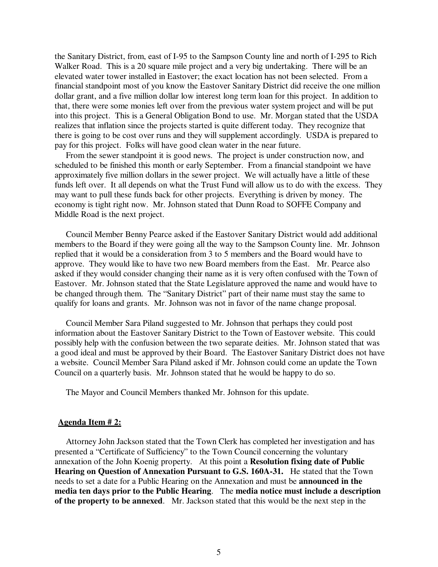the Sanitary District, from, east of I-95 to the Sampson County line and north of I-295 to Rich Walker Road. This is a 20 square mile project and a very big undertaking. There will be an elevated water tower installed in Eastover; the exact location has not been selected. From a financial standpoint most of you know the Eastover Sanitary District did receive the one million dollar grant, and a five million dollar low interest long term loan for this project. In addition to that, there were some monies left over from the previous water system project and will be put into this project. This is a General Obligation Bond to use. Mr. Morgan stated that the USDA realizes that inflation since the projects started is quite different today. They recognize that there is going to be cost over runs and they will supplement accordingly. USDA is prepared to pay for this project. Folks will have good clean water in the near future.

From the sewer standpoint it is good news. The project is under construction now, and scheduled to be finished this month or early September. From a financial standpoint we have approximately five million dollars in the sewer project. We will actually have a little of these funds left over. It all depends on what the Trust Fund will allow us to do with the excess. They may want to pull these funds back for other projects. Everything is driven by money. The economy is tight right now. Mr. Johnson stated that Dunn Road to SOFFE Company and Middle Road is the next project.

 Council Member Benny Pearce asked if the Eastover Sanitary District would add additional members to the Board if they were going all the way to the Sampson County line. Mr. Johnson replied that it would be a consideration from 3 to 5 members and the Board would have to approve. They would like to have two new Board members from the East. Mr. Pearce also asked if they would consider changing their name as it is very often confused with the Town of Eastover. Mr. Johnson stated that the State Legislature approved the name and would have to be changed through them. The "Sanitary District" part of their name must stay the same to qualify for loans and grants. Mr. Johnson was not in favor of the name change proposal.

 Council Member Sara Piland suggested to Mr. Johnson that perhaps they could post information about the Eastover Sanitary District to the Town of Eastover website. This could possibly help with the confusion between the two separate deities. Mr. Johnson stated that was a good ideal and must be approved by their Board. The Eastover Sanitary District does not have a website. Council Member Sara Piland asked if Mr. Johnson could come an update the Town Council on a quarterly basis. Mr. Johnson stated that he would be happy to do so.

The Mayor and Council Members thanked Mr. Johnson for this update.

### **Agenda Item # 2:**

 Attorney John Jackson stated that the Town Clerk has completed her investigation and has presented a "Certificate of Sufficiency" to the Town Council concerning the voluntary annexation of the John Koenig property. At this point a **Resolution fixing date of Public Hearing on Question of Annexation Pursuant to G.S. 160A-31.** He stated that the Town needs to set a date for a Public Hearing on the Annexation and must be **announced in the media ten days prior to the Public Hearing**. The **media notice must include a description of the property to be annexed**. Mr. Jackson stated that this would be the next step in the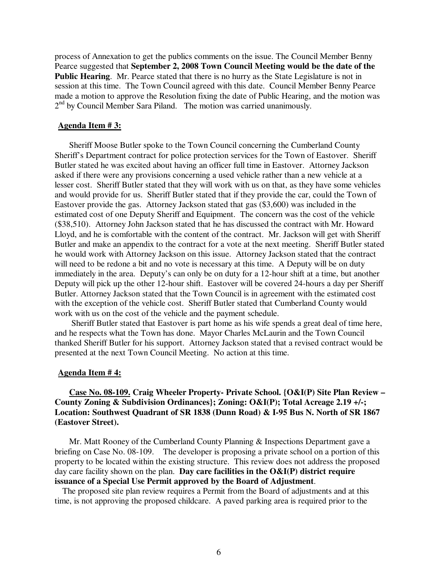process of Annexation to get the publics comments on the issue. The Council Member Benny Pearce suggested that **September 2, 2008 Town Council Meeting would be the date of the Public Hearing**. Mr. Pearce stated that there is no hurry as the State Legislature is not in session at this time. The Town Council agreed with this date. Council Member Benny Pearce made a motion to approve the Resolution fixing the date of Public Hearing, and the motion was 2<sup>nd</sup> by Council Member Sara Piland. The motion was carried unanimously.

### **Agenda Item # 3:**

 Sheriff Moose Butler spoke to the Town Council concerning the Cumberland County Sheriff's Department contract for police protection services for the Town of Eastover. Sheriff Butler stated he was excited about having an officer full time in Eastover. Attorney Jackson asked if there were any provisions concerning a used vehicle rather than a new vehicle at a lesser cost. Sheriff Butler stated that they will work with us on that, as they have some vehicles and would provide for us. Sheriff Butler stated that if they provide the car, could the Town of Eastover provide the gas. Attorney Jackson stated that gas (\$3,600) was included in the estimated cost of one Deputy Sheriff and Equipment. The concern was the cost of the vehicle (\$38,510). Attorney John Jackson stated that he has discussed the contract with Mr. Howard Lloyd, and he is comfortable with the content of the contract. Mr. Jackson will get with Sheriff Butler and make an appendix to the contract for a vote at the next meeting. Sheriff Butler stated he would work with Attorney Jackson on this issue. Attorney Jackson stated that the contract will need to be redone a bit and no vote is necessary at this time. A Deputy will be on duty immediately in the area. Deputy's can only be on duty for a 12-hour shift at a time, but another Deputy will pick up the other 12-hour shift. Eastover will be covered 24-hours a day per Sheriff Butler. Attorney Jackson stated that the Town Council is in agreement with the estimated cost with the exception of the vehicle cost. Sheriff Butler stated that Cumberland County would work with us on the cost of the vehicle and the payment schedule.

 Sheriff Butler stated that Eastover is part home as his wife spends a great deal of time here, and he respects what the Town has done. Mayor Charles McLaurin and the Town Council thanked Sheriff Butler for his support. Attorney Jackson stated that a revised contract would be presented at the next Town Council Meeting. No action at this time.

#### **Agenda Item # 4:**

# **Case No. 08-109. Craig Wheeler Property- Private School. {O&I(P) Site Plan Review – County Zoning & Subdivision Ordinances}; Zoning: O&I(P); Total Acreage 2.19 +/-; Location: Southwest Quadrant of SR 1838 (Dunn Road) & I-95 Bus N. North of SR 1867 (Eastover Street).**

 Mr. Matt Rooney of the Cumberland County Planning & Inspections Department gave a briefing on Case No. 08-109. The developer is proposing a private school on a portion of this property to be located within the existing structure. This review does not address the proposed day care facility shown on the plan. **Day care facilities in the O&I(P) district require issuance of a Special Use Permit approved by the Board of Adjustment**.

 The proposed site plan review requires a Permit from the Board of adjustments and at this time, is not approving the proposed childcare. A paved parking area is required prior to the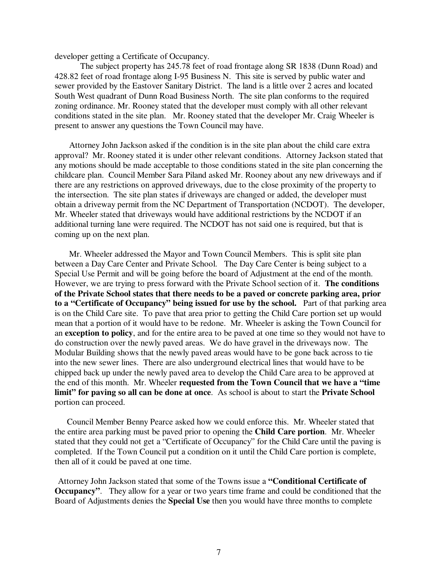developer getting a Certificate of Occupancy.

 The subject property has 245.78 feet of road frontage along SR 1838 (Dunn Road) and 428.82 feet of road frontage along I-95 Business N. This site is served by public water and sewer provided by the Eastover Sanitary District. The land is a little over 2 acres and located South West quadrant of Dunn Road Business North. The site plan conforms to the required zoning ordinance. Mr. Rooney stated that the developer must comply with all other relevant conditions stated in the site plan. Mr. Rooney stated that the developer Mr. Craig Wheeler is present to answer any questions the Town Council may have.

 Attorney John Jackson asked if the condition is in the site plan about the child care extra approval? Mr. Rooney stated it is under other relevant conditions. Attorney Jackson stated that any motions should be made acceptable to those conditions stated in the site plan concerning the childcare plan. Council Member Sara Piland asked Mr. Rooney about any new driveways and if there are any restrictions on approved driveways, due to the close proximity of the property to the intersection. The site plan states if driveways are changed or added, the developer must obtain a driveway permit from the NC Department of Transportation (NCDOT). The developer, Mr. Wheeler stated that driveways would have additional restrictions by the NCDOT if an additional turning lane were required. The NCDOT has not said one is required, but that is coming up on the next plan.

 Mr. Wheeler addressed the Mayor and Town Council Members. This is split site plan between a Day Care Center and Private School. The Day Care Center is being subject to a Special Use Permit and will be going before the board of Adjustment at the end of the month. However, we are trying to press forward with the Private School section of it. **The conditions of the Private School states that there needs to be a paved or concrete parking area, prior to a "Certificate of Occupancy" being issued for use by the school.** Part of that parking area is on the Child Care site. To pave that area prior to getting the Child Care portion set up would mean that a portion of it would have to be redone. Mr. Wheeler is asking the Town Council for an **exception to policy**, and for the entire area to be paved at one time so they would not have to do construction over the newly paved areas. We do have gravel in the driveways now. The Modular Building shows that the newly paved areas would have to be gone back across to tie into the new sewer lines. There are also underground electrical lines that would have to be chipped back up under the newly paved area to develop the Child Care area to be approved at the end of this month. Mr. Wheeler **requested from the Town Council that we have a "time limit" for paving so all can be done at once**. As school is about to start the **Private School** portion can proceed.

 Council Member Benny Pearce asked how we could enforce this. Mr. Wheeler stated that the entire area parking must be paved prior to opening the **Child Care portion**. Mr. Wheeler stated that they could not get a "Certificate of Occupancy" for the Child Care until the paving is completed. If the Town Council put a condition on it until the Child Care portion is complete, then all of it could be paved at one time.

Attorney John Jackson stated that some of the Towns issue a **"Conditional Certificate of Occupancy".** They allow for a year or two years time frame and could be conditioned that the Board of Adjustments denies the **Special Use** then you would have three months to complete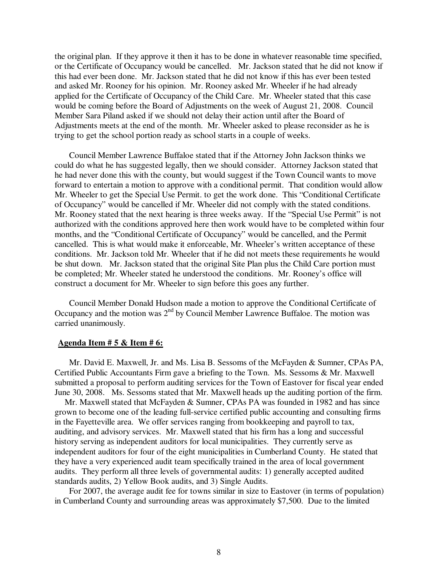the original plan. If they approve it then it has to be done in whatever reasonable time specified, or the Certificate of Occupancy would be cancelled. Mr. Jackson stated that he did not know if this had ever been done. Mr. Jackson stated that he did not know if this has ever been tested and asked Mr. Rooney for his opinion. Mr. Rooney asked Mr. Wheeler if he had already applied for the Certificate of Occupancy of the Child Care. Mr. Wheeler stated that this case would be coming before the Board of Adjustments on the week of August 21, 2008. Council Member Sara Piland asked if we should not delay their action until after the Board of Adjustments meets at the end of the month. Mr. Wheeler asked to please reconsider as he is trying to get the school portion ready as school starts in a couple of weeks.

 Council Member Lawrence Buffaloe stated that if the Attorney John Jackson thinks we could do what he has suggested legally, then we should consider. Attorney Jackson stated that he had never done this with the county, but would suggest if the Town Council wants to move forward to entertain a motion to approve with a conditional permit. That condition would allow Mr. Wheeler to get the Special Use Permit. to get the work done. This "Conditional Certificate of Occupancy" would be cancelled if Mr. Wheeler did not comply with the stated conditions. Mr. Rooney stated that the next hearing is three weeks away. If the "Special Use Permit" is not authorized with the conditions approved here then work would have to be completed within four months, and the "Conditional Certificate of Occupancy" would be cancelled, and the Permit cancelled. This is what would make it enforceable, Mr. Wheeler's written acceptance of these conditions. Mr. Jackson told Mr. Wheeler that if he did not meets these requirements he would be shut down. Mr. Jackson stated that the original Site Plan plus the Child Care portion must be completed; Mr. Wheeler stated he understood the conditions. Mr. Rooney's office will construct a document for Mr. Wheeler to sign before this goes any further.

 Council Member Donald Hudson made a motion to approve the Conditional Certificate of Occupancy and the motion was  $2<sup>nd</sup>$  by Council Member Lawrence Buffaloe. The motion was carried unanimously.

### **Agenda Item # 5 & Item # 6:**

Mr. David E. Maxwell, Jr. and Ms. Lisa B. Sessoms of the McFayden & Sumner, CPAs PA, Certified Public Accountants Firm gave a briefing to the Town. Ms. Sessoms & Mr. Maxwell submitted a proposal to perform auditing services for the Town of Eastover for fiscal year ended June 30, 2008. Ms. Sessoms stated that Mr. Maxwell heads up the auditing portion of the firm.

 Mr. Maxwell stated that McFayden & Sumner, CPAs PA was founded in 1982 and has since grown to become one of the leading full-service certified public accounting and consulting firms in the Fayetteville area. We offer services ranging from bookkeeping and payroll to tax, auditing, and advisory services. Mr. Maxwell stated that his firm has a long and successful history serving as independent auditors for local municipalities. They currently serve as independent auditors for four of the eight municipalities in Cumberland County. He stated that they have a very experienced audit team specifically trained in the area of local government audits. They perform all three levels of governmental audits: 1) generally accepted audited standards audits, 2) Yellow Book audits, and 3) Single Audits.

 For 2007, the average audit fee for towns similar in size to Eastover (in terms of population) in Cumberland County and surrounding areas was approximately \$7,500. Due to the limited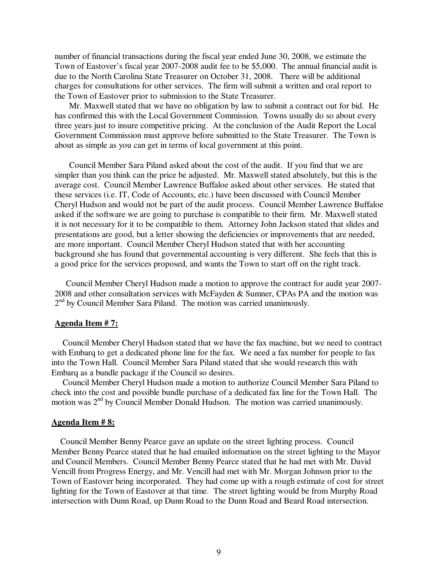number of financial transactions during the fiscal year ended June 30, 2008, we estimate the Town of Eastover's fiscal year 2007-2008 audit fee to be \$5,000. The annual financial audit is due to the North Carolina State Treasurer on October 31, 2008. There will be additional charges for consultations for other services. The firm will submit a written and oral report to the Town of Eastover prior to submission to the State Treasurer.

 Mr. Maxwell stated that we have no obligation by law to submit a contract out for bid. He has confirmed this with the Local Government Commission. Towns usually do so about every three years just to insure competitive pricing. At the conclusion of the Audit Report the Local Government Commission must approve before submitted to the State Treasurer. The Town is about as simple as you can get in terms of local government at this point.

 Council Member Sara Piland asked about the cost of the audit. If you find that we are simpler than you think can the price be adjusted. Mr. Maxwell stated absolutely, but this is the average cost. Council Member Lawrence Buffaloe asked about other services. He stated that these services (i.e. IT, Code of Accounts, etc.) have been discussed with Council Member Cheryl Hudson and would not be part of the audit process. Council Member Lawrence Buffaloe asked if the software we are going to purchase is compatible to their firm. Mr. Maxwell stated it is not necessary for it to be compatible to them. Attorney John Jackson stated that slides and presentations are good, but a letter showing the deficiencies or improvements that are needed, are more important. Council Member Cheryl Hudson stated that with her accounting background she has found that governmental accounting is very different. She feels that this is a good price for the services proposed, and wants the Town to start off on the right track.

 Council Member Cheryl Hudson made a motion to approve the contract for audit year 2007- 2008 and other consultation services with McFayden & Sumner, CPAs PA and the motion was 2<sup>nd</sup> by Council Member Sara Piland. The motion was carried unanimously.

### **Agenda Item # 7:**

 Council Member Cheryl Hudson stated that we have the fax machine, but we need to contract with Embarq to get a dedicated phone line for the fax. We need a fax number for people to fax into the Town Hall. Council Member Sara Piland stated that she would research this with Embarq as a bundle package if the Council so desires.

 Council Member Cheryl Hudson made a motion to authorize Council Member Sara Piland to check into the cost and possible bundle purchase of a dedicated fax line for the Town Hall. The motion was 2<sup>nd</sup> by Council Member Donald Hudson. The motion was carried unanimously.

### **Agenda Item # 8:**

 Council Member Benny Pearce gave an update on the street lighting process. Council Member Benny Pearce stated that he had emailed information on the street lighting to the Mayor and Council Members. Council Member Benny Pearce stated that he had met with Mr. David Vencill from Progress Energy, and Mr. Vencill had met with Mr. Morgan Johnson prior to the Town of Eastover being incorporated. They had come up with a rough estimate of cost for street lighting for the Town of Eastover at that time. The street lighting would be from Murphy Road intersection with Dunn Road, up Dunn Road to the Dunn Road and Beard Road intersection.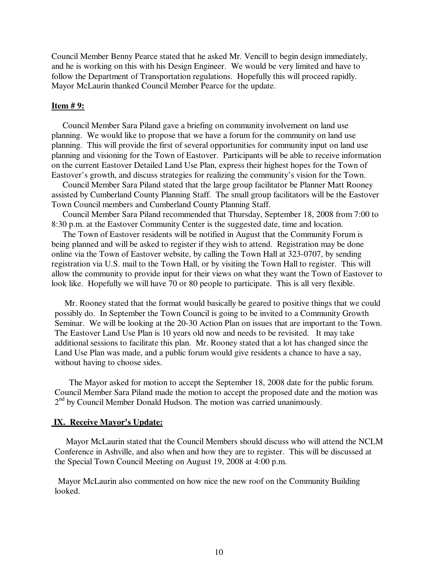Council Member Benny Pearce stated that he asked Mr. Vencill to begin design immediately, and he is working on this with his Design Engineer. We would be very limited and have to follow the Department of Transportation regulations. Hopefully this will proceed rapidly. Mayor McLaurin thanked Council Member Pearce for the update.

### **Item # 9:**

 Council Member Sara Piland gave a briefing on community involvement on land use planning. We would like to propose that we have a forum for the community on land use planning. This will provide the first of several opportunities for community input on land use planning and visioning for the Town of Eastover. Participants will be able to receive information on the current Eastover Detailed Land Use Plan, express their highest hopes for the Town of Eastover's growth, and discuss strategies for realizing the community's vision for the Town.

 Council Member Sara Piland stated that the large group facilitator be Planner Matt Rooney assisted by Cumberland County Planning Staff. The small group facilitators will be the Eastover Town Council members and Cumberland County Planning Staff.

 Council Member Sara Piland recommended that Thursday, September 18, 2008 from 7:00 to 8:30 p.m. at the Eastover Community Center is the suggested date, time and location.

 The Town of Eastover residents will be notified in August that the Community Forum is being planned and will be asked to register if they wish to attend. Registration may be done online via the Town of Eastover website, by calling the Town Hall at 323-0707, by sending registration via U.S. mail to the Town Hall, or by visiting the Town Hall to register. This will allow the community to provide input for their views on what they want the Town of Eastover to look like. Hopefully we will have 70 or 80 people to participate. This is all very flexible.

 Mr. Rooney stated that the format would basically be geared to positive things that we could possibly do. In September the Town Council is going to be invited to a Community Growth Seminar. We will be looking at the 20-30 Action Plan on issues that are important to the Town. The Eastover Land Use Plan is 10 years old now and needs to be revisited. It may take additional sessions to facilitate this plan. Mr. Rooney stated that a lot has changed since the Land Use Plan was made, and a public forum would give residents a chance to have a say, without having to choose sides.

 The Mayor asked for motion to accept the September 18, 2008 date for the public forum. Council Member Sara Piland made the motion to accept the proposed date and the motion was 2<sup>nd</sup> by Council Member Donald Hudson. The motion was carried unanimously.

### **IX. Receive Mayor's Update:**

 Mayor McLaurin stated that the Council Members should discuss who will attend the NCLM Conference in Ashville, and also when and how they are to register. This will be discussed at the Special Town Council Meeting on August 19, 2008 at 4:00 p.m.

Mayor McLaurin also commented on how nice the new roof on the Community Building looked.